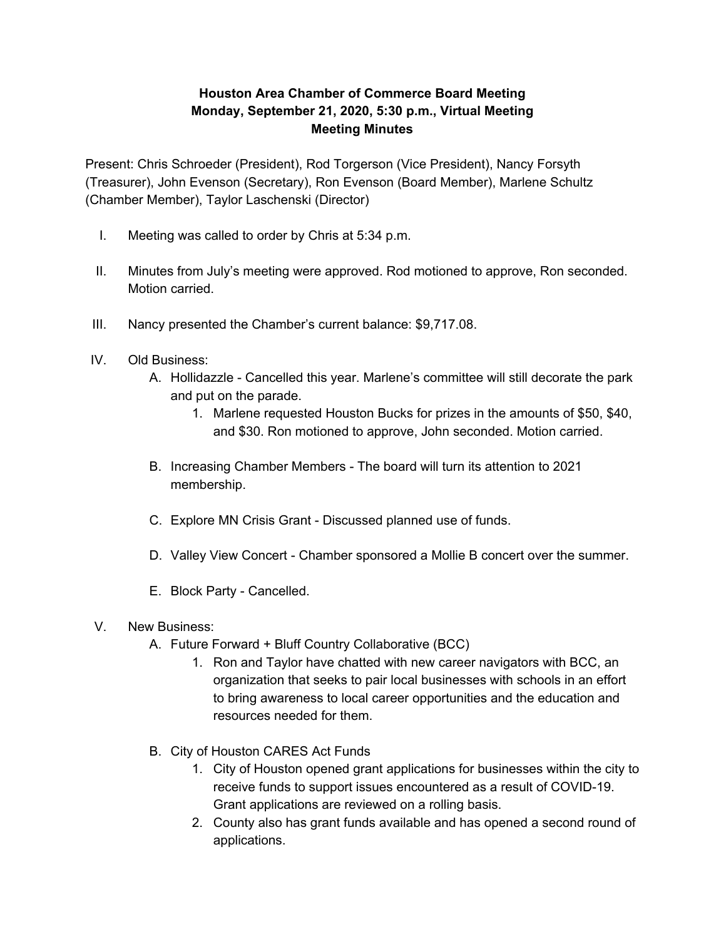## **Houston Area Chamber of Commerce Board Meeting Monday, September 21, 2020, 5:30 p.m., Virtual Meeting Meeting Minutes**

Present: Chris Schroeder (President), Rod Torgerson (Vice President), Nancy Forsyth (Treasurer), John Evenson (Secretary), Ron Evenson (Board Member), Marlene Schultz (Chamber Member), Taylor Laschenski (Director)

- I. Meeting was called to order by Chris at 5:34 p.m.
- II. Minutes from July's meeting were approved. Rod motioned to approve, Ron seconded. Motion carried.
- III. Nancy presented the Chamber's current balance: \$9,717.08.
- IV. Old Business:
	- A. Hollidazzle Cancelled this year. Marlene's committee will still decorate the park and put on the parade.
		- 1. Marlene requested Houston Bucks for prizes in the amounts of \$50, \$40, and \$30. Ron motioned to approve, John seconded. Motion carried.
	- B. Increasing Chamber Members The board will turn its attention to 2021 membership.
	- C. Explore MN Crisis Grant Discussed planned use of funds.
	- D. Valley View Concert Chamber sponsored a Mollie B concert over the summer.
	- E. Block Party Cancelled.

## V. New Business:

- A. Future Forward + Bluff Country Collaborative (BCC)
	- 1. Ron and Taylor have chatted with new career navigators with BCC, an organization that seeks to pair local businesses with schools in an effort to bring awareness to local career opportunities and the education and resources needed for them.
- B. City of Houston CARES Act Funds
	- 1. City of Houston opened grant applications for businesses within the city to receive funds to support issues encountered as a result of COVID-19. Grant applications are reviewed on a rolling basis.
	- 2. County also has grant funds available and has opened a second round of applications.